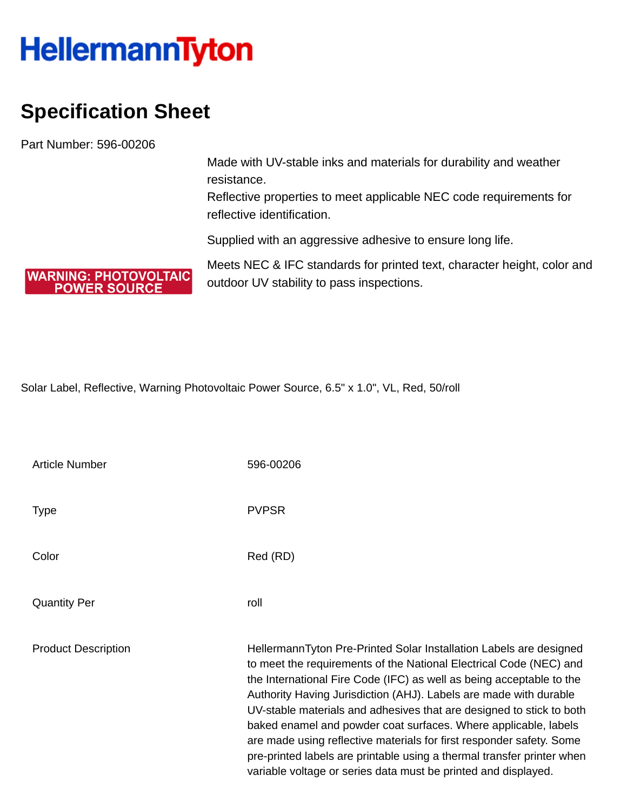## **HellermannTyton**

## **Specification Sheet**

**WARNING: PHOTOVOLTAIC POWER SOURCE** 

Part Number: 596-00206

Made with UV-stable inks and materials for durability and weather resistance.

Reflective properties to meet applicable NEC code requirements for reflective identification.

Supplied with an aggressive adhesive to ensure long life.

Meets NEC & IFC standards for printed text, character height, color and outdoor UV stability to pass inspections.

Solar Label, Reflective, Warning Photovoltaic Power Source, 6.5" x 1.0", VL, Red, 50/roll

| <b>Article Number</b>      | 596-00206                                                                                                                                                                                                                                                                                                                                                                                                                                                                                                                                                                                                                                            |
|----------------------------|------------------------------------------------------------------------------------------------------------------------------------------------------------------------------------------------------------------------------------------------------------------------------------------------------------------------------------------------------------------------------------------------------------------------------------------------------------------------------------------------------------------------------------------------------------------------------------------------------------------------------------------------------|
| Type                       | <b>PVPSR</b>                                                                                                                                                                                                                                                                                                                                                                                                                                                                                                                                                                                                                                         |
| Color                      | Red (RD)                                                                                                                                                                                                                                                                                                                                                                                                                                                                                                                                                                                                                                             |
| <b>Quantity Per</b>        | roll                                                                                                                                                                                                                                                                                                                                                                                                                                                                                                                                                                                                                                                 |
| <b>Product Description</b> | HellermannTyton Pre-Printed Solar Installation Labels are designed<br>to meet the requirements of the National Electrical Code (NEC) and<br>the International Fire Code (IFC) as well as being acceptable to the<br>Authority Having Jurisdiction (AHJ). Labels are made with durable<br>UV-stable materials and adhesives that are designed to stick to both<br>baked enamel and powder coat surfaces. Where applicable, labels<br>are made using reflective materials for first responder safety. Some<br>pre-printed labels are printable using a thermal transfer printer when<br>variable voltage or series data must be printed and displayed. |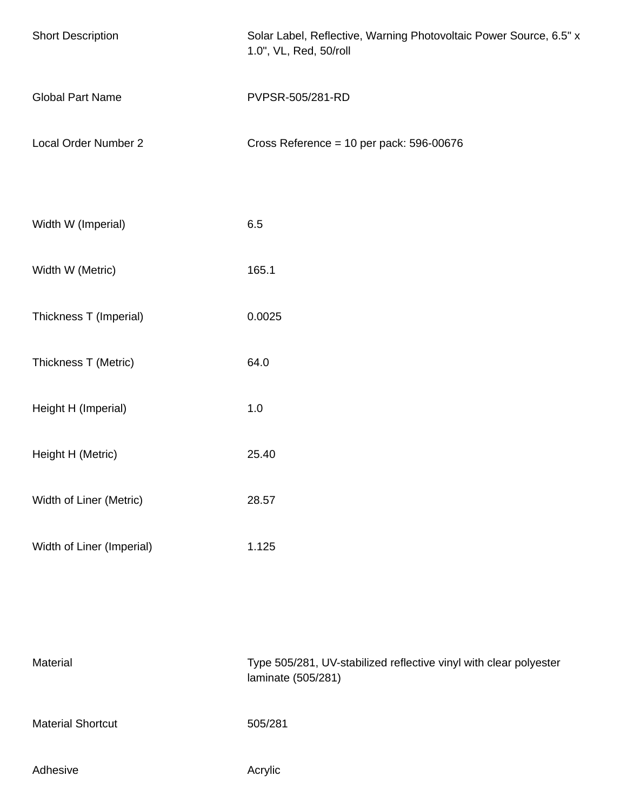| <b>Short Description</b>  | Solar Label, Reflective, Warning Photovoltaic Power Source, 6.5" x<br>1.0", VL, Red, 50/roll |
|---------------------------|----------------------------------------------------------------------------------------------|
| <b>Global Part Name</b>   | PVPSR-505/281-RD                                                                             |
| Local Order Number 2      | Cross Reference = 10 per pack: 596-00676                                                     |
| Width W (Imperial)        | 6.5                                                                                          |
| Width W (Metric)          | 165.1                                                                                        |
| Thickness T (Imperial)    | 0.0025                                                                                       |
| Thickness T (Metric)      | 64.0                                                                                         |
| Height H (Imperial)       | 1.0                                                                                          |
| Height H (Metric)         | 25.40                                                                                        |
| Width of Liner (Metric)   | 28.57                                                                                        |
| Width of Liner (Imperial) | 1.125                                                                                        |
| Material                  | Type 505/281, UV-stabilized reflective vinyl with clear polyester<br>laminate (505/281)      |
| <b>Material Shortcut</b>  | 505/281                                                                                      |